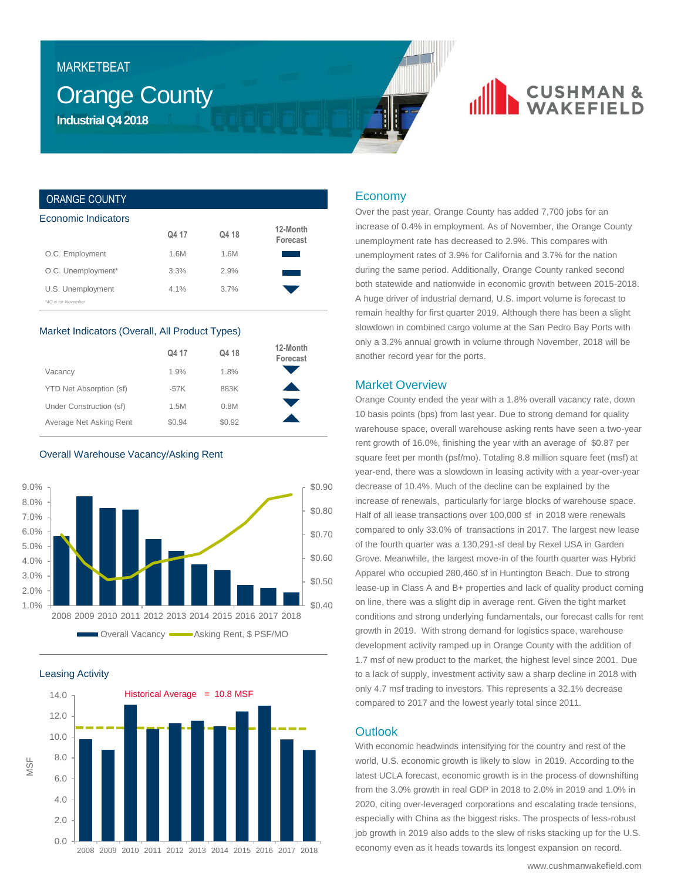## **MARKETBEAT**

## **Orange County Industrial Q4 2018**

# **CUSHMAN &**

## ORANGE COUNTY

| Economic Indicators | Q4 17   | Q4 18 | 12-Month |
|---------------------|---------|-------|----------|
| O.C. Employment     | 1.6M    | 1.6M  | Forecast |
| O.C. Unemployment*  | 3.3%    | 2.9%  |          |
| U.S. Unemployment   | $4.1\%$ | 3.7%  |          |
| *40 is for November |         |       |          |

#### Market Indicators (Overall, All Product Types)

|                         | Q4 17  | Q4 18  | 12-Month<br>Forecast |
|-------------------------|--------|--------|----------------------|
| Vacancy                 | 1.9%   | 1.8%   |                      |
| YTD Net Absorption (sf) | $-57K$ | 883K   |                      |
| Under Construction (sf) | 1.5M   | 0.8M   |                      |
| Average Net Asking Rent | \$0.94 | \$0.92 |                      |

### Overall Warehouse Vacancy/Asking Rent







## Economy

Over the past year, Orange County has added 7,700 jobs for an increase of 0.4% in employment. As of November, the Orange County unemployment rate has decreased to 2.9%. This compares with unemployment rates of 3.9% for California and 3.7% for the nation during the same period. Additionally, Orange County ranked second both statewide and nationwide in economic growth between 2015-2018. A huge driver of industrial demand, U.S. import volume is forecast to remain healthy for first quarter 2019. Although there has been a slight slowdown in combined cargo volume at the San Pedro Bay Ports with only a 3.2% annual growth in volume through November, 2018 will be another record year for the ports.

## Market Overview

Orange County ended the year with a 1.8% overall vacancy rate, down 10 basis points (bps) from last year. Due to strong demand for quality warehouse space, overall warehouse asking rents have seen a two-year rent growth of 16.0%, finishing the year with an average of \$0.87 per square feet per month (psf/mo). Totaling 8.8 million square feet (msf) at year-end, there was a slowdown in leasing activity with a year-over-year decrease of 10.4%. Much of the decline can be explained by the increase of renewals, particularly for large blocks of warehouse space. Half of all lease transactions over 100,000 sf in 2018 were renewals compared to only 33.0% of transactions in 2017. The largest new lease of the fourth quarter was a 130,291-sf deal by Rexel USA in Garden Grove. Meanwhile, the largest move-in of the fourth quarter was Hybrid Apparel who occupied 280,460 sf in Huntington Beach. Due to strong lease-up in Class A and B+ properties and lack of quality product coming on line, there was a slight dip in average rent. Given the tight market conditions and strong underlying fundamentals, our forecast calls for rent growth in 2019. With strong demand for logistics space, warehouse development activity ramped up in Orange County with the addition of 1.7 msf of new product to the market, the highest level since 2001. Due to a lack of supply, investment activity saw a sharp decline in 2018 with only 4.7 msf trading to investors. This represents a 32.1% decrease compared to 2017 and the lowest yearly total since 2011.

## **Outlook**

With economic headwinds intensifying for the country and rest of the world, U.S. economic growth is likely to slow in 2019. According to the latest UCLA forecast, economic growth is in the process of downshifting from the 3.0% growth in real GDP in 2018 to 2.0% in 2019 and 1.0% in 2020, citing over-leveraged corporations and escalating trade tensions, especially with China as the biggest risks. The prospects of less-robust job growth in 2019 also adds to the slew of risks stacking up for the U.S. economy even as it heads towards its longest expansion on record.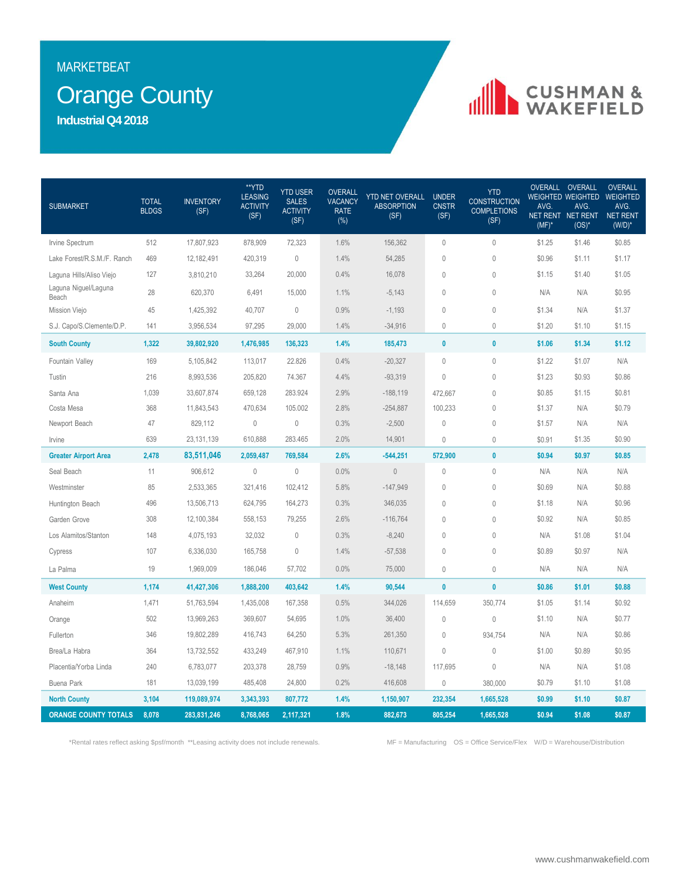## **MARKETBEAT**

## **Orange County**

**Industrial Q4 2018**

# **IN CUSHMAN &**

| <b>SUBMARKET</b>              | <b>TOTAL</b><br><b>BLDGS</b> | <b>INVENTORY</b><br>(SF) | **YTD<br><b>LEASING</b><br><b>ACTIVITY</b><br>(SF) | <b>YTD USER</b><br><b>SALES</b><br><b>ACTIVITY</b><br>(SF) | <b>OVERALL</b><br><b>VACANCY</b><br><b>RATE</b><br>$(\%)$ | <b>YTD NET OVERALL</b><br><b>ABSORPTION</b><br>(SF) | <b>UNDER</b><br><b>CNSTR</b><br>(SF) | <b>YTD</b><br><b>CONSTRUCTION</b><br><b>COMPLETIONS</b><br>(SF) | AVG.<br>$(MF)^*$ | OVERALL OVERALL<br>WEIGHTED WEIGHTED WEIGHTED<br>AVG.<br>NET RENT NET RENT NET RENT<br>$(OS)^*$ | <b>OVERALL</b><br>AVG.<br>$(W/D)^*$ |
|-------------------------------|------------------------------|--------------------------|----------------------------------------------------|------------------------------------------------------------|-----------------------------------------------------------|-----------------------------------------------------|--------------------------------------|-----------------------------------------------------------------|------------------|-------------------------------------------------------------------------------------------------|-------------------------------------|
| Irvine Spectrum               | 512                          | 17,807,923               | 878,909                                            | 72,323                                                     | 1.6%                                                      | 156,362                                             | $\mathbf 0$                          | $\mathbf 0$                                                     | \$1.25           | \$1.46                                                                                          | \$0.85                              |
| Lake Forest/R.S.M./F. Ranch   | 469                          | 12,182,491               | 420,319                                            | $\mathbb O$                                                | 1.4%                                                      | 54,285                                              | $\mathbf{0}$                         | $\theta$                                                        | \$0.96           | \$1.11                                                                                          | \$1.17                              |
| Laguna Hills/Aliso Viejo      | 127                          | 3,810,210                | 33,264                                             | 20,000                                                     | 0.4%                                                      | 16,078                                              | $\mathbb O$                          | $\mathbb O$                                                     | \$1.15           | \$1.40                                                                                          | \$1.05                              |
| Laguna Niguel/Laguna<br>Beach | 28                           | 620,370                  | 6,491                                              | 15,000                                                     | 1.1%                                                      | $-5,143$                                            | $\mathbf 0$                          | $\theta$                                                        | N/A              | N/A                                                                                             | \$0.95                              |
| Mission Viejo                 | 45                           | 1,425,392                | 40,707                                             | $\mathbb O$                                                | 0.9%                                                      | $-1,193$                                            | $\mathbf 0$                          | $\theta$                                                        | \$1.34           | N/A                                                                                             | \$1.37                              |
| S.J. Capo/S.Clemente/D.P.     | 141                          | 3,956,534                | 97,295                                             | 29,000                                                     | 1.4%                                                      | $-34,916$                                           | $\theta$                             | $\mathbf 0$                                                     | \$1.20           | \$1.10                                                                                          | \$1.15                              |
| <b>South County</b>           | 1,322                        | 39,802,920               | 1,476,985                                          | 136,323                                                    | 1.4%                                                      | 185,473                                             | $\pmb{0}$                            | $\pmb{0}$                                                       | \$1.06           | \$1.34                                                                                          | \$1.12                              |
| Fountain Valley               | 169                          | 5,105,842                | 113,017                                            | 22.826                                                     | 0.4%                                                      | $-20,327$                                           | $\mathbf{0}$                         | $\mathbf 0$                                                     | \$1.22           | \$1.07                                                                                          | N/A                                 |
| Tustin                        | 216                          | 8,993,536                | 205,820                                            | 74.367                                                     | 4.4%                                                      | $-93,319$                                           | $\mathbf{0}$                         | $\mathbf 0$                                                     | \$1.23           | \$0.93                                                                                          | \$0.86                              |
| Santa Ana                     | 1,039                        | 33,607,874               | 659,128                                            | 283.924                                                    | 2.9%                                                      | $-188,119$                                          | 472,667                              | $\theta$                                                        | \$0.85           | \$1.15                                                                                          | \$0.81                              |
| Costa Mesa                    | 368                          | 11,843,543               | 470,634                                            | 105.002                                                    | 2.8%                                                      | $-254,887$                                          | 100,233                              | $\mathbb O$                                                     | \$1.37           | N/A                                                                                             | \$0.79                              |
| Newport Beach                 | 47                           | 829,112                  | $\mathbf 0$                                        | $\mathbf{0}$                                               | 0.3%                                                      | $-2,500$                                            | $\mathbf{0}$                         | $\theta$                                                        | \$1.57           | N/A                                                                                             | N/A                                 |
| Irvine                        | 639                          | 23, 131, 139             | 610,888                                            | 283.465                                                    | 2.0%                                                      | 14,901                                              | $\theta$                             | $\theta$                                                        | \$0.91           | \$1.35                                                                                          | \$0.90                              |
| <b>Greater Airport Area</b>   | 2,478                        | 83,511,046               | 2,059,487                                          | 769,584                                                    | 2.6%                                                      | $-544,251$                                          | 572,900                              | $\pmb{0}$                                                       | \$0.94           | \$0.97                                                                                          | \$0.85                              |
| Seal Beach                    | 11                           | 906,612                  | $\mathbb O$                                        | $\mathbf 0$                                                | 0.0%                                                      | $\mathbb O$                                         | $\theta$                             | $\theta$                                                        | N/A              | N/A                                                                                             | N/A                                 |
| Westminster                   | 85                           | 2,533,365                | 321,416                                            | 102,412                                                    | 5.8%                                                      | $-147,949$                                          | $\theta$                             | $\theta$                                                        | \$0.69           | N/A                                                                                             | \$0.88                              |
| Huntington Beach              | 496                          | 13,506,713               | 624,795                                            | 164,273                                                    | 0.3%                                                      | 346,035                                             | $\theta$                             | $\mathbf 0$                                                     | \$1.18           | N/A                                                                                             | \$0.96                              |
| Garden Grove                  | 308                          | 12,100,384               | 558,153                                            | 79,255                                                     | 2.6%                                                      | $-116,764$                                          | $\mathbb O$                          | $\mathbb O$                                                     | \$0.92           | N/A                                                                                             | \$0.85                              |
| Los Alamitos/Stanton          | 148                          | 4,075,193                | 32,032                                             | $\mathbf 0$                                                | 0.3%                                                      | $-8,240$                                            | $\mathbf{0}$                         | $\mathbf 0$                                                     | N/A              | \$1.08                                                                                          | \$1.04                              |
| Cypress                       | 107                          | 6,336,030                | 165,758                                            | $\mathbf{0}$                                               | 1.4%                                                      | $-57,538$                                           | $\theta$                             | $\theta$                                                        | \$0.89           | \$0.97                                                                                          | N/A                                 |
| La Palma                      | 19                           | 1,969,009                | 186,046                                            | 57,702                                                     | 0.0%                                                      | 75,000                                              | $\mathbf 0$                          | $\mathbb O$                                                     | N/A              | N/A                                                                                             | N/A                                 |
| <b>West County</b>            | 1,174                        | 41,427,306               | 1,888,200                                          | 403,642                                                    | 1.4%                                                      | 90,544                                              | $\pmb{0}$                            | $\bf{0}$                                                        | \$0.86           | \$1.01                                                                                          | \$0.88                              |
| Anaheim                       | 1,471                        | 51,763,594               | 1,435,008                                          | 167,358                                                    | 0.5%                                                      | 344,026                                             | 114,659                              | 350,774                                                         | \$1.05           | \$1.14                                                                                          | \$0.92                              |
| Orange                        | 502                          | 13,969,263               | 369,607                                            | 54,695                                                     | 1.0%                                                      | 36,400                                              | $\mathbb O$                          | $\mathbb O$                                                     | \$1.10           | N/A                                                                                             | \$0.77                              |
| Fullerton                     | 346                          | 19,802,289               | 416,743                                            | 64,250                                                     | 5.3%                                                      | 261,350                                             | $\mathbf{0}$                         | 934,754                                                         | N/A              | N/A                                                                                             | \$0.86                              |
| Brea/La Habra                 | 364                          | 13,732,552               | 433,249                                            | 467,910                                                    | 1.1%                                                      | 110,671                                             | $\mathbf{0}$                         | $\theta$                                                        | \$1.00           | \$0.89                                                                                          | \$0.95                              |
| Placentia/Yorba Linda         | 240                          | 6,783,077                | 203,378                                            | 28,759                                                     | 0.9%                                                      | $-18,148$                                           | 117,695                              | $\mathbb O$                                                     | N/A              | N/A                                                                                             | \$1.08                              |
| Buena Park                    | 181                          | 13,039,199               | 485,408                                            | 24,800                                                     | 0.2%                                                      | 416,608                                             | $\mathbf{0}$                         | 380,000                                                         | \$0.79           | \$1.10                                                                                          | \$1.08                              |
| <b>North County</b>           | 3,104                        | 119,089,974              | 3,343,393                                          | 807,772                                                    | 1.4%                                                      | 1,150,907                                           | 232,354                              | 1,665,528                                                       | \$0.99           | \$1.10                                                                                          | \$0.87                              |
| <b>ORANGE COUNTY TOTALS</b>   | 8,078                        | 283,831,246              | 8,768,065                                          | 2,117,321                                                  | 1.8%                                                      | 882,673                                             | 805,254                              | 1,665,528                                                       | \$0.94           | \$1.08                                                                                          | \$0.87                              |

\*Rental rates reflect asking \$psf/month \*\*Leasing activity does not include renewals. MF = Manufacturing OS = Office Service/Flex W/D = Warehouse/Distribution